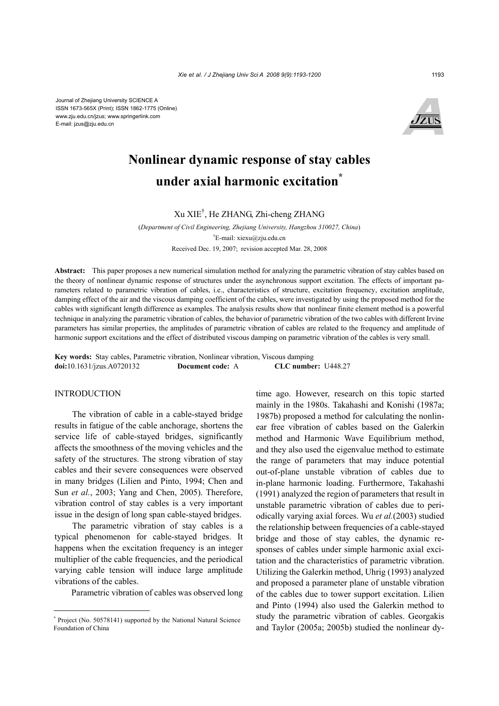Journal of Zhejiang University SCIENCE A ISSN 1673-565X (Print); ISSN 1862-1775 (Online) www.zju.edu.cn/jzus; www.springerlink.com E-mail: jzus@zju.edu.cn



# **Nonlinear dynamic response of stay cables under axial harmonic excitation\***

Xu XIE† , He ZHANG, Zhi-cheng ZHANG

(*Department of Civil Engineering, Zhejiang University, Hangzhou 310027, China*) † E-mail: xiexu@zju.edu.cn Received Dec. 19, 2007; revision accepted Mar. 28, 2008

**Abstract:** This paper proposes a new numerical simulation method for analyzing the parametric vibration of stay cables based on the theory of nonlinear dynamic response of structures under the asynchronous support excitation. The effects of important parameters related to parametric vibration of cables, i.e., characteristics of structure, excitation frequency, excitation amplitude, damping effect of the air and the viscous damping coefficient of the cables, were investigated by using the proposed method for the cables with significant length difference as examples. The analysis results show that nonlinear finite element method is a powerful technique in analyzing the parametric vibration of cables, the behavior of parametric vibration of the two cables with different Irvine parameters has similar properties, the amplitudes of parametric vibration of cables are related to the frequency and amplitude of harmonic support excitations and the effect of distributed viscous damping on parametric vibration of the cables is very small.

**Key words:** Stay cables, Parametric vibration, Nonlinear vibration, Viscous damping **doi:**10.1631/jzus.A0720132 **Document code:** A **CLC number:** U448.27

## **INTRODUCTION**

The vibration of cable in a cable-stayed bridge results in fatigue of the cable anchorage, shortens the service life of cable-stayed bridges, significantly affects the smoothness of the moving vehicles and the safety of the structures. The strong vibration of stay cables and their severe consequences were observed in many bridges (Lilien and Pinto, 1994; Chen and Sun *et al.*, 2003; Yang and Chen, 2005). Therefore, vibration control of stay cables is a very important issue in the design of long span cable-stayed bridges.

The parametric vibration of stay cables is a typical phenomenon for cable-stayed bridges. It happens when the excitation frequency is an integer multiplier of the cable frequencies, and the periodical varying cable tension will induce large amplitude vibrations of the cables.

Parametric vibration of cables was observed long

time ago. However, research on this topic started mainly in the 1980s. Takahashi and Konishi (1987a; 1987b) proposed a method for calculating the nonlinear free vibration of cables based on the Galerkin method and Harmonic Wave Equilibrium method, and they also used the eigenvalue method to estimate the range of parameters that may induce potential out-of-plane unstable vibration of cables due to in-plane harmonic loading. Furthermore, Takahashi (1991) analyzed the region of parameters that result in unstable parametric vibration of cables due to periodically varying axial forces. Wu *et al.*(2003) studied the relationship between frequencies of a cable-stayed bridge and those of stay cables, the dynamic responses of cables under simple harmonic axial excitation and the characteristics of parametric vibration. Utilizing the Galerkin method, Uhrig (1993) analyzed and proposed a parameter plane of unstable vibration of the cables due to tower support excitation. Lilien and Pinto (1994) also used the Galerkin method to study the parametric vibration of cables. Georgakis and Taylor (2005a; 2005b) studied the nonlinear dy-

<sup>\*</sup> Project (No. 50578141) supported by the National Natural Science Foundation of China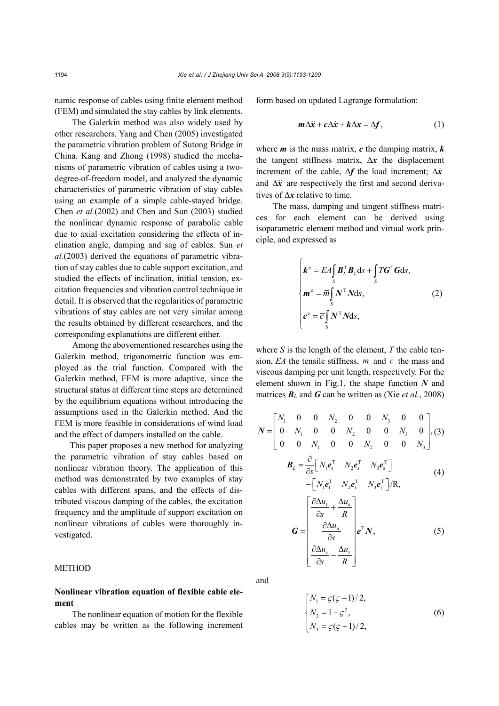namic response of cables using finite element method (FEM) and simulated the stay cables by link elements.

The Galerkin method was also widely used by other researchers. Yang and Chen (2005) investigated the parametric vibration problem of Sutong Bridge in China. Kang and Zhong (1998) studied the mechanisms of parametric vibration of cables using a twodegree-of-freedom model, and analyzed the dynamic characteristics of parametric vibration of stay cables using an example of a simple cable-stayed bridge. Chen *et al.*(2002) and Chen and Sun (2003) studied the nonlinear dynamic response of parabolic cable due to axial excitation considering the effects of inclination angle, damping and sag of cables. Sun *et al.*(2003) derived the equations of parametric vibration of stay cables due to cable support excitation, and studied the effects of inclination, initial tension, excitation frequencies and vibration control technique in detail. It is observed that the regularities of parametric vibrations of stay cables are not very similar among the results obtained by different researchers, and the corresponding explanations are different either.

Among the abovementioned researches using the Galerkin method, trigonometric function was employed as the trial function. Compared with the Galerkin method, FEM is more adaptive, since the structural status at different time steps are determined by the equilibrium equations without introducing the assumptions used in the Galerkin method. And the FEM is more feasible in considerations of wind load and the effect of dampers installed on the cable.

This paper proposes a new method for analyzing the parametric vibration of stay cables based on nonlinear vibration theory. The application of this method was demonstrated by two examples of stay cables with different spans, and the effects of distributed viscous damping of the cables, the excitation frequency and the amplitude of support excitation on nonlinear vibrations of cables were thoroughly investigated.

# **METHOD**

# **Nonlinear vibration equation of flexible cable element**

The nonlinear equation of motion for the flexible cables may be written as the following increment

form based on updated Lagrange formulation:

$$
m\Delta \ddot{x} + c\Delta \dot{x} + k\Delta x = \Delta f, \qquad (1)
$$

where *m* is the mass matrix, *c* the damping matrix, *k* the tangent stiffness matrix, Δ*x* the displacement increment of the cable, Δ*f* the load increment; Δ*x* and Δ*x* are respectively the first and second derivatives of Δ*x* relative to time.

The mass, damping and tangent stiffness matrices for each element can be derived using isoparametric element method and virtual work principle, and expressed as

$$
\begin{cases}\nk^e = EA \int_S \mathbf{B}_L^{\mathrm{T}} \mathbf{B}_L \, \mathrm{d}s + \int_S T \mathbf{G}^{\mathrm{T}} \mathbf{G} \, \mathrm{d}s, \\
\mathbf{m}^e = \overline{m} \int_S \mathbf{N}^{\mathrm{T}} N \, \mathrm{d}s, \\
c^e = \overline{c} \int_S \mathbf{N}^{\mathrm{T}} N \, \mathrm{d}s,\n\end{cases} \tag{2}
$$

where *S* is the length of the element, *T* the cable tension, *EA* the tensile stiffness,  $\overline{m}$  and  $\overline{c}$  the mass and viscous damping per unit length, respectively. For the element shown in Fig.1, the shape function *N* and matrices  $B_L$  and  $G$  can be written as (Xie *et al.*, 2008)

$$
N = \begin{bmatrix} N_1 & 0 & 0 & N_2 & 0 & 0 & N_3 & 0 & 0 \\ 0 & N_1 & 0 & 0 & N_2 & 0 & 0 & N_3 & 0 \\ 0 & 0 & N_1 & 0 & 0 & N_2 & 0 & 0 & N_3 \end{bmatrix}, (3)
$$
  

$$
B_L = \frac{\partial}{\partial s} \begin{bmatrix} N_1 e_s^T & N_2 e_s^T & N_3 e_s^T \end{bmatrix}
$$
  

$$
- \begin{bmatrix} N_1 e_i^T & N_2 e_i^T & N_3 e_i^T \end{bmatrix} / R,
$$
  

$$
G = \begin{bmatrix} \frac{\partial \Delta u_t}{\partial s} + \frac{\Delta u_s}{R} \\ \frac{\partial \Delta u_n}{\partial s} - \frac{\Delta u_t}{R} \end{bmatrix} e^T N,
$$
 (5)

and

$$
\begin{cases}\nN_1 = \frac{\varsigma(\varsigma - 1)}{2}, \\
N_2 = 1 - \frac{\varsigma^2}{2}, \\
N_3 = \frac{\varsigma(\varsigma + 1)}{2},\n\end{cases}
$$
\n(6)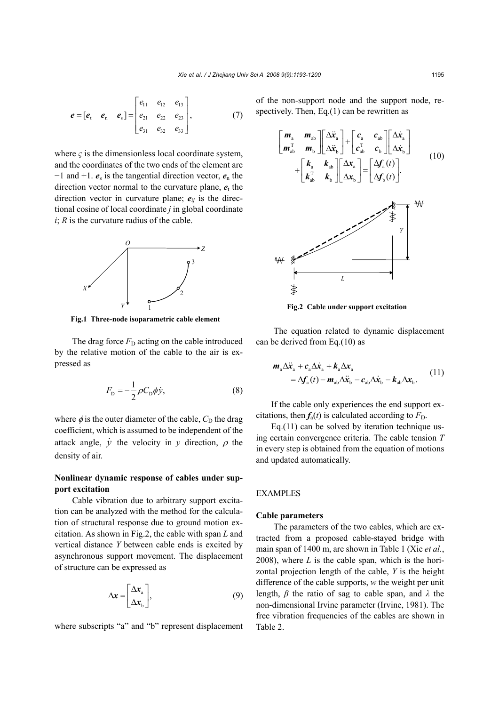$$
e = [e_{t} \quad e_{n} \quad e_{s}] = \begin{bmatrix} e_{11} & e_{12} & e_{13} \\ e_{21} & e_{22} & e_{23} \\ e_{31} & e_{32} & e_{33} \end{bmatrix}, \tag{7}
$$

where  $\varsigma$  is the dimensionless local coordinate system, and the coordinates of the two ends of the element are −1 and +1. *e*s is the tangential direction vector, *e*n the direction vector normal to the curvature plane,  $e_t$  the direction vector in curvature plane;  $e_{ii}$  is the directional cosine of local coordinate *j* in global coordinate *i*; *R* is the curvature radius of the cable.



**Fig.1 Three-node isoparametric cable element**

The drag force  $F<sub>D</sub>$  acting on the cable introduced by the relative motion of the cable to the air is expressed as

$$
F_{\rm D} = -\frac{1}{2}\rho C_{\rm D}\phi\dot{y},\qquad(8)
$$

where  $\phi$  is the outer diameter of the cable,  $C<sub>D</sub>$  the drag coefficient, which is assumed to be independent of the attack angle,  $\dot{v}$  the velocity in  $v$  direction,  $\rho$  the density of air.

# **Nonlinear dynamic response of cables under support excitation**

Cable vibration due to arbitrary support excitation can be analyzed with the method for the calculation of structural response due to ground motion excitation. As shown in Fig.2, the cable with span *L* and vertical distance *Y* between cable ends is excited by asynchronous support movement. The displacement of structure can be expressed as

$$
\Delta x = \begin{bmatrix} \Delta x_a \\ \Delta x_b \end{bmatrix},\tag{9}
$$

where subscripts "a" and "b" represent displacement

of the non-support node and the support node, respectively. Then, Eq.(1) can be rewritten as



**Fig.2 Cable under support excitation**

The equation related to dynamic displacement can be derived from Eq.(10) as

$$
\begin{aligned} m_{\mathbf{a}} \Delta \ddot{\mathbf{x}}_{\mathbf{a}} + c_{\mathbf{a}} \Delta \dot{\mathbf{x}}_{\mathbf{a}} + k_{\mathbf{a}} \Delta \mathbf{x}_{\mathbf{a}} \\ &= \Delta f_{\mathbf{a}}(t) - m_{\mathbf{a}\mathbf{b}} \Delta \ddot{\mathbf{x}}_{\mathbf{b}} - c_{\mathbf{a}\mathbf{b}} \Delta \dot{\mathbf{x}}_{\mathbf{b}} - k_{\mathbf{a}\mathbf{b}} \Delta \mathbf{x}_{\mathbf{b}}. \end{aligned} \tag{11}
$$

If the cable only experiences the end support excitations, then  $f_a(t)$  is calculated according to  $F_D$ .

Eq.(11) can be solved by iteration technique using certain convergence criteria. The cable tension *T* in every step is obtained from the equation of motions and updated automatically.

### EXAMPLES

#### **Cable parameters**

The parameters of the two cables, which are extracted from a proposed cable-stayed bridge with main span of 1400 m, are shown in Table 1 (Xie *et al.*, 2008), where *L* is the cable span, which is the horizontal projection length of the cable, *Y* is the height difference of the cable supports, *w* the weight per unit length, *β* the ratio of sag to cable span, and *λ* the non-dimensional Irvine parameter (Irvine, 1981). The free vibration frequencies of the cables are shown in Table 2.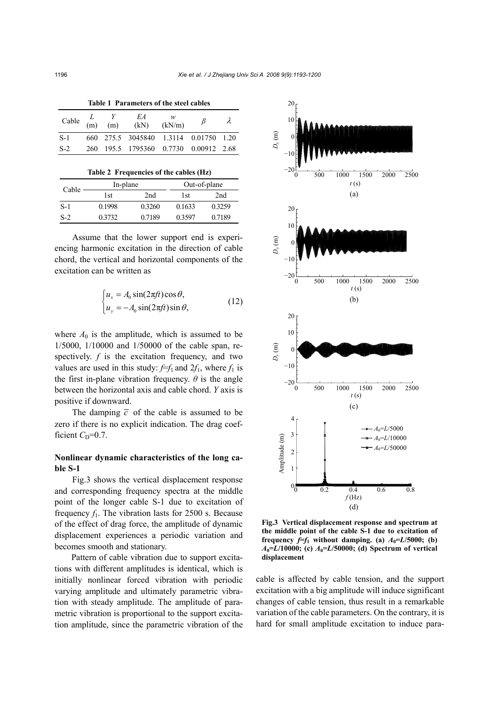| Table 1 Parameters of the steel cables |  |  |                                                                                    |  |         |           |  |  |
|----------------------------------------|--|--|------------------------------------------------------------------------------------|--|---------|-----------|--|--|
|                                        |  |  | Cable $\begin{array}{ccc} L & Y & EA & w \\ (m) & (m) & (kN) & (kN/m) \end{array}$ |  | $\beta$ | $\lambda$ |  |  |
| $S-1$                                  |  |  | 660 275.5 3045840 1.3114 0.01750 1.20                                              |  |         |           |  |  |
| $S-2$                                  |  |  | 260 195.5 1795360 0.7730 0.00912 2.68                                              |  |         |           |  |  |

**Table 2 Frequencies of the cables (Hz)**

| Cable · | In-plane |        | Out-of-plane |                 |  |
|---------|----------|--------|--------------|-----------------|--|
|         | 1st      | 2nd    | 1st          | 2 <sub>nd</sub> |  |
| $S-1$   | 0.1998   | 0.3260 | 0.1633       | 0.3259          |  |
| $S-2$   | 0.3732   | 0.7189 | 0.3597       | 0.7189          |  |

Assume that the lower support end is experiencing harmonic excitation in the direction of cable chord, the vertical and horizontal components of the excitation can be written as

$$
\begin{cases}\n u_x = A_0 \sin(2\pi ft) \cos \theta, \\
 u_y = -A_0 \sin(2\pi ft) \sin \theta,\n\end{cases}
$$
\n(12)

where  $A_0$  is the amplitude, which is assumed to be 1/5000, 1/10000 and 1/50000 of the cable span, respectively.  $f$  is the excitation frequency, and two values are used in this study:  $f=f_1$  and  $2f_1$ , where  $f_1$  is the first in-plane vibration frequency.  $\theta$  is the angle between the horizontal axis and cable chord. *Y* axis is positive if downward.

The damping  $\bar{c}$  of the cable is assumed to be zero if there is no explicit indication. The drag coefficient  $C<sub>D</sub>=0.7$ .

# **Nonlinear dynamic characteristics of the long cable S-1**

Fig.3 shows the vertical displacement response and corresponding frequency spectra at the middle point of the longer cable S-1 due to excitation of frequency  $f_1$ . The vibration lasts for 2500 s. Because of the effect of drag force, the amplitude of dynamic displacement experiences a periodic variation and becomes smooth and stationary.

Pattern of cable vibration due to support excitations with different amplitudes is identical, which is initially nonlinear forced vibration with periodic varying amplitude and ultimately parametric vibration with steady amplitude. The amplitude of parametric vibration is proportional to the support excitation amplitude, since the parametric vibration of the



**Fig.3 Vertical displacement response and spectrum at the middle point of the cable S-1 due to excitation of frequency**  $f=f_1$  without damping. (a)  $A_0=L/5000$ ; (b)  $A_0 = L/10000$ ; (c)  $A_0 = L/50000$ ; (d) Spectrum of vertical **displacement** 

cable is affected by cable tension, and the support excitation with a big amplitude will induce significant changes of cable tension, thus result in a remarkable variation of the cable parameters. On the contrary, it is hard for small amplitude excitation to induce para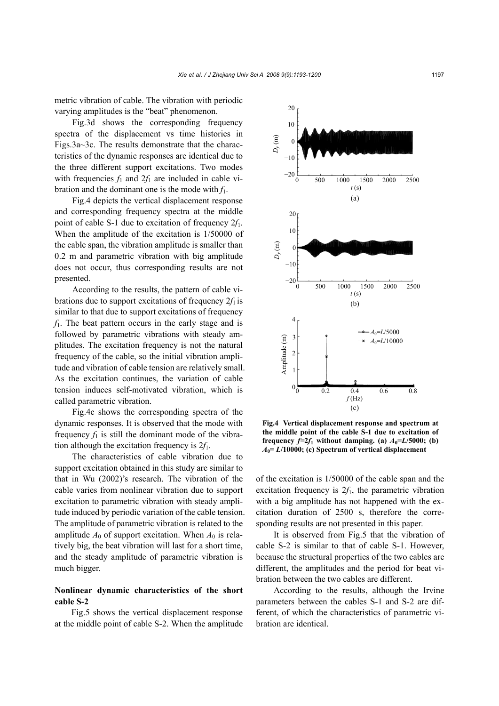metric vibration of cable. The vibration with periodic varying amplitudes is the "beat" phenomenon.

Fig.3d shows the corresponding frequency spectra of the displacement vs time histories in Figs.3a~3c. The results demonstrate that the characteristics of the dynamic responses are identical due to the three different support excitations. Two modes with frequencies  $f_1$  and  $2f_1$  are included in cable vibration and the dominant one is the mode with *f*1.

Fig.4 depicts the vertical displacement response and corresponding frequency spectra at the middle point of cable S-1 due to excitation of frequency 2*f*1. When the amplitude of the excitation is 1/50000 of the cable span, the vibration amplitude is smaller than 0.2 m and parametric vibration with big amplitude does not occur, thus corresponding results are not presented.

According to the results, the pattern of cable vibrations due to support excitations of frequency  $2f_1$  is similar to that due to support excitations of frequency *f*1. The beat pattern occurs in the early stage and is followed by parametric vibrations with steady amplitudes. The excitation frequency is not the natural frequency of the cable, so the initial vibration amplitude and vibration of cable tension are relatively small. As the excitation continues, the variation of cable tension induces self-motivated vibration, which is called parametric vibration.

Fig.4c shows the corresponding spectra of the dynamic responses. It is observed that the mode with frequency  $f_1$  is still the dominant mode of the vibration although the excitation frequency is 2*f*1.

The characteristics of cable vibration due to support excitation obtained in this study are similar to that in Wu (2002)'s research. The vibration of the cable varies from nonlinear vibration due to support excitation to parametric vibration with steady amplitude induced by periodic variation of the cable tension. The amplitude of parametric vibration is related to the amplitude  $A_0$  of support excitation. When  $A_0$  is relatively big, the beat vibration will last for a short time, and the steady amplitude of parametric vibration is much bigger.

# **Nonlinear dynamic characteristics of the short cable S-2**

Fig.5 shows the vertical displacement response at the middle point of cable S-2. When the amplitude



**Fig.4 Vertical displacement response and spectrum at the middle point of the cable S-1 due to excitation of frequency**  $f=2f_1$  **without damping.** (a)  $A_0=L/5000$ ; (b) *A***0=** *L***/10000; (c) Spectrum of vertical displacement**

of the excitation is 1/50000 of the cable span and the excitation frequency is 2*f*1, the parametric vibration with a big amplitude has not happened with the excitation duration of 2500 s, therefore the corresponding results are not presented in this paper.

It is observed from Fig.5 that the vibration of cable S-2 is similar to that of cable S-1. However, because the structural properties of the two cables are different, the amplitudes and the period for beat vibration between the two cables are different.

According to the results, although the Irvine parameters between the cables S-1 and S-2 are different, of which the characteristics of parametric vibration are identical.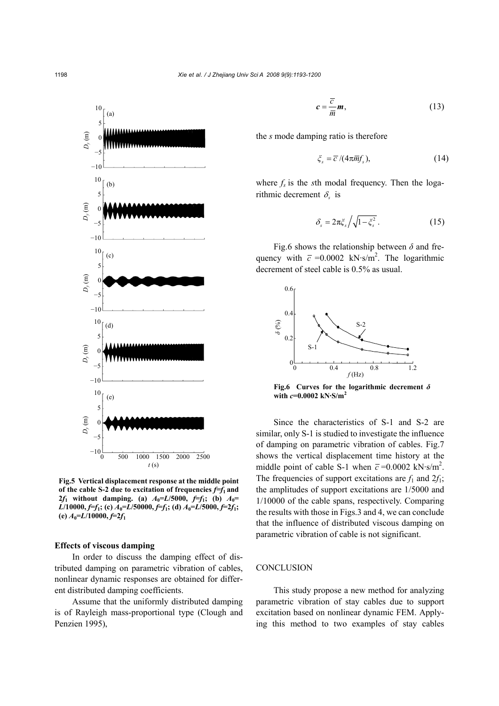

**Fig.5 Vertical displacement response at the middle point**  of the cable S-2 due to excitation of frequencies  $f=f_1$  and **2***f***1** without damping. (a)  $A_0 = L/5000$ ,  $f = f_1$ ; (b)  $A_0 =$ *L***/10000,** *f***=***f***1; (c)** *A***0=***L***/50000,** *f***=***f***1; (d)** *A***0=***L***/5000,** *f***=2***f***1;**   $(e)$   $A_0 = L/10000, f = 2f_1$ 

## **Effects of viscous damping**

In order to discuss the damping effect of distributed damping on parametric vibration of cables, nonlinear dynamic responses are obtained for different distributed damping coefficients.

Assume that the uniformly distributed damping is of Rayleigh mass-proportional type (Clough and Penzien 1995),

$$
c = \frac{\overline{c}}{\overline{m}} m,
$$
 (13)

the *s* mode damping ratio is therefore

$$
\xi_s = \overline{c} / (4\pi \overline{m} f_s), \qquad (14)
$$

where  $f_s$  is the *s*th modal frequency. Then the logarithmic decrement  $\delta_{s}$  is

$$
\delta_s = 2\pi \xi_s \sqrt{1 - \xi_s^2} \,. \tag{15}
$$

Fig.6 shows the relationship between  $\delta$  and frequency with  $\bar{c}$  =0.0002 kN·s/m<sup>2</sup>. The logarithmic decrement of steel cable is 0.5% as usual.



**Fig.6 Curves for the logarithmic decrement** *δ* **with** *c***=0.0002 kN·S/m2**

Since the characteristics of S-1 and S-2 are similar, only S-1 is studied to investigate the influence of damping on parametric vibration of cables. Fig.7 shows the vertical displacement time history at the middle point of cable S-1 when  $\bar{c}$  =0.0002 kN·s/m<sup>2</sup>. The frequencies of support excitations are  $f_1$  and  $2f_1$ ; the amplitudes of support excitations are 1/5000 and 1/10000 of the cable spans, respectively. Comparing the results with those in Figs.3 and 4, we can conclude that the influence of distributed viscous damping on parametric vibration of cable is not significant.

## **CONCLUSION**

This study propose a new method for analyzing parametric vibration of stay cables due to support excitation based on nonlinear dynamic FEM. Applying this method to two examples of stay cables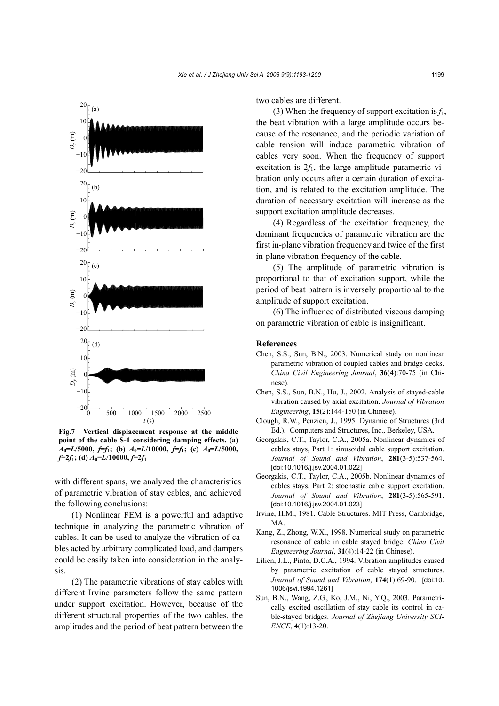

**Fig.7 Vertical displacement response at the middle point of the cable S-1 considering damping effects. (a)**  *A***0=***L***/5000,** *f***=***f***1; (b)** *A***0=***L***/10000,** *f***=***f***1; (c)** *A***0=***L***/5000,**  *f***=2***f***1; (d)** *A***0=***L***/10000,** *f***=2***f***<sup>1</sup>**

with different spans, we analyzed the characteristics of parametric vibration of stay cables, and achieved the following conclusions:

(1) Nonlinear FEM is a powerful and adaptive technique in analyzing the parametric vibration of cables. It can be used to analyze the vibration of cables acted by arbitrary complicated load, and dampers could be easily taken into consideration in the analysis.

(2) The parametric vibrations of stay cables with different Irvine parameters follow the same pattern under support excitation. However, because of the different structural properties of the two cables, the amplitudes and the period of beat pattern between the two cables are different.

(3) When the frequency of support excitation is  $f_1$ , the beat vibration with a large amplitude occurs because of the resonance, and the periodic variation of cable tension will induce parametric vibration of cables very soon. When the frequency of support excitation is  $2f_1$ , the large amplitude parametric vibration only occurs after a certain duration of excitation, and is related to the excitation amplitude. The duration of necessary excitation will increase as the support excitation amplitude decreases.

(4) Regardless of the excitation frequency, the dominant frequencies of parametric vibration are the first in-plane vibration frequency and twice of the first in-plane vibration frequency of the cable.

(5) The amplitude of parametric vibration is proportional to that of excitation support, while the period of beat pattern is inversely proportional to the amplitude of support excitation.

(6) The influence of distributed viscous damping on parametric vibration of cable is insignificant.

## **References**

- Chen, S.S., Sun, B.N., 2003. Numerical study on nonlinear parametric vibration of coupled cables and bridge decks. *China Civil Engineering Journal*, **36**(4):70-75 (in Chinese).
- Chen, S.S., Sun, B.N., Hu, J., 2002. Analysis of stayed-cable vibration caused by axial excitation. *Journal of Vibration Engineering*, **15**(2):144-150 (in Chinese).
- Clough, R.W., Penzien, J., 1995. Dynamic of Structures (3rd Ed.). Computers and Structures, Inc., Berkeley, USA.
- Georgakis, C.T., Taylor, C.A., 2005a. Nonlinear dynamics of cables stays, Part 1: sinusoidal cable support excitation. *Journal of Sound and Vibration*, **281**(3-5):537-564. [doi:10.1016/j.jsv.2004.01.022]
- Georgakis, C.T., Taylor, C.A., 2005b. Nonlinear dynamics of cables stays, Part 2: stochastic cable support excitation. *Journal of Sound and Vibration*, **281**(3-5):565-591. [doi:10.1016/j.jsv.2004.01.023]
- Irvine, H.M., 1981. Cable Structures. MIT Press, Cambridge, MA.
- Kang, Z., Zhong, W.X., 1998. Numerical study on parametric resonance of cable in cable stayed bridge. *China Civil Engineering Journal*, **31**(4):14-22 (in Chinese).
- Lilien, J.L., Pinto, D.C.A., 1994. Vibration amplitudes caused by parametric excitation of cable stayed structures. *Journal of Sound and Vibration*, **174**(1):69-90. [doi:10. 1006/jsvi.1994.1261]
- Sun, B.N., Wang, Z.G., Ko, J.M., Ni, Y.Q., 2003. Parametrically excited oscillation of stay cable its control in cable-stayed bridges. *Journal of Zhejiang University SCI-ENCE*, **4**(1):13-20.